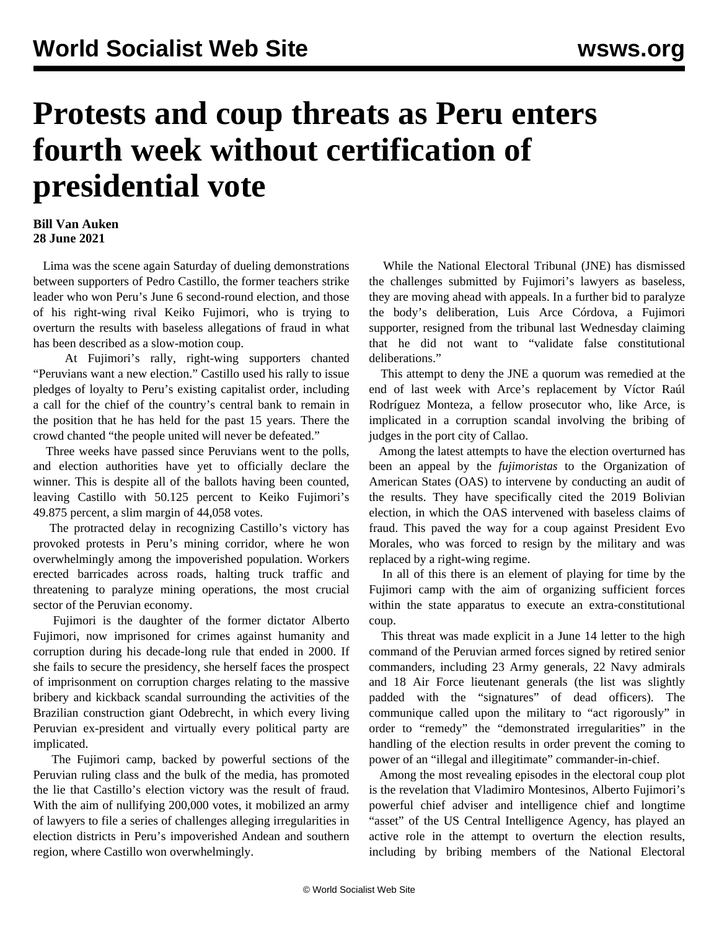## **Protests and coup threats as Peru enters fourth week without certification of presidential vote**

## **Bill Van Auken 28 June 2021**

 Lima was the scene again Saturday of dueling demonstrations between supporters of Pedro Castillo, the former teachers strike leader who won Peru's June 6 second-round election, and those of his right-wing rival Keiko Fujimori, who is trying to overturn the results with baseless allegations of fraud in what has been described as a slow-motion coup.

 At Fujimori's rally, right-wing supporters chanted "Peruvians want a new election." Castillo used his rally to issue pledges of loyalty to Peru's existing capitalist order, including a call for the chief of the country's central bank to remain in the position that he has held for the past 15 years. There the crowd chanted "the people united will never be defeated."

 Three weeks have passed since Peruvians went to the polls, and election authorities have yet to officially declare the winner. This is despite all of the ballots having been counted, leaving Castillo with 50.125 percent to Keiko Fujimori's 49.875 percent, a slim margin of 44,058 votes.

 The protracted delay in recognizing Castillo's victory has provoked protests in Peru's mining corridor, where he won overwhelmingly among the impoverished population. Workers erected barricades across roads, halting truck traffic and threatening to paralyze mining operations, the most crucial sector of the Peruvian economy.

 Fujimori is the daughter of the former dictator Alberto Fujimori, now imprisoned for crimes against humanity and corruption during his decade-long rule that ended in 2000. If she fails to secure the presidency, she herself faces the prospect of imprisonment on corruption charges relating to the massive bribery and kickback scandal surrounding the activities of the Brazilian construction giant Odebrecht, in which every living Peruvian ex-president and virtually every political party are implicated.

 The Fujimori camp, backed by powerful sections of the Peruvian ruling class and the bulk of the media, has promoted the lie that Castillo's election victory was the result of fraud. With the aim of nullifying 200,000 votes, it mobilized an army of lawyers to file a series of challenges alleging irregularities in election districts in Peru's impoverished Andean and southern region, where Castillo won overwhelmingly.

 While the National Electoral Tribunal (JNE) has dismissed the challenges submitted by Fujimori's lawyers as baseless, they are moving ahead with appeals. In a further bid to paralyze the body's deliberation, Luis Arce Córdova, a Fujimori supporter, resigned from the tribunal last Wednesday claiming that he did not want to "validate false constitutional deliberations."

 This attempt to deny the JNE a quorum was remedied at the end of last week with Arce's replacement by Víctor Raúl Rodríguez Monteza, a fellow prosecutor who, like Arce, is implicated in a corruption scandal involving the bribing of judges in the port city of Callao.

 Among the latest attempts to have the election overturned has been an appeal by the *fujimoristas* to the Organization of American States (OAS) to intervene by conducting an audit of the results. They have specifically cited the 2019 Bolivian election, in which the OAS intervened with baseless claims of fraud. This paved the way for a coup against President Evo Morales, who was forced to resign by the military and was replaced by a right-wing regime.

 In all of this there is an element of playing for time by the Fujimori camp with the aim of organizing sufficient forces within the state apparatus to execute an extra-constitutional coup.

 This threat was made explicit in a June 14 letter to the high command of the Peruvian armed forces signed by retired senior commanders, including 23 Army generals, 22 Navy admirals and 18 Air Force lieutenant generals (the list was slightly padded with the "signatures" of dead officers). The communique called upon the military to "act rigorously" in order to "remedy" the "demonstrated irregularities" in the handling of the election results in order prevent the coming to power of an "illegal and illegitimate" commander-in-chief.

 Among the most revealing episodes in the electoral coup plot is the revelation that Vladimiro Montesinos, Alberto Fujimori's powerful chief adviser and intelligence chief and longtime "asset" of the US Central Intelligence Agency, has played an active role in the attempt to overturn the election results, including by bribing members of the National Electoral